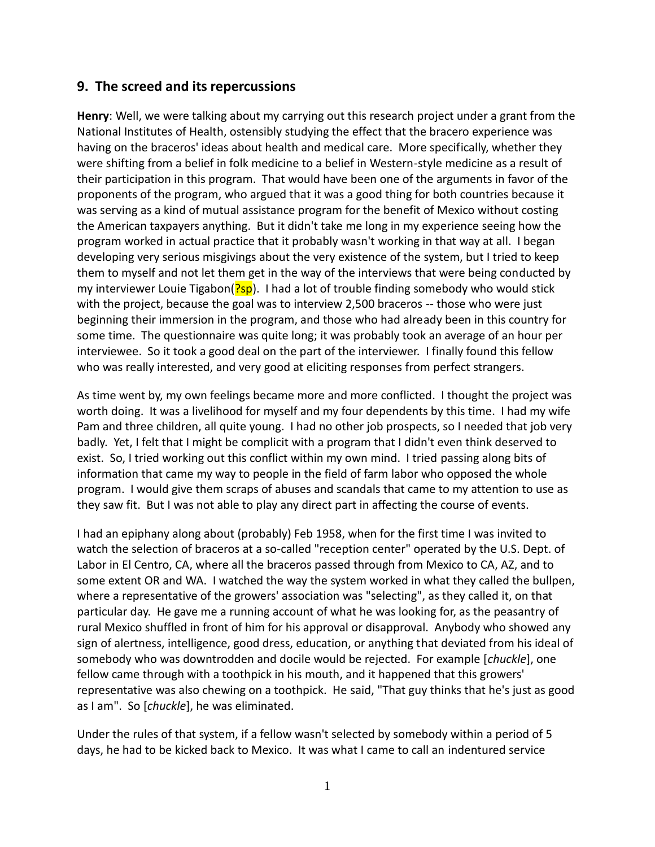## **9. The screed and its repercussions**

**Henry**: Well, we were talking about my carrying out this research project under a grant from the National Institutes of Health, ostensibly studying the effect that the bracero experience was having on the braceros' ideas about health and medical care. More specifically, whether they were shifting from a belief in folk medicine to a belief in Western-style medicine as a result of their participation in this program. That would have been one of the arguments in favor of the proponents of the program, who argued that it was a good thing for both countries because it was serving as a kind of mutual assistance program for the benefit of Mexico without costing the American taxpayers anything. But it didn't take me long in my experience seeing how the program worked in actual practice that it probably wasn't working in that way at all. I began developing very serious misgivings about the very existence of the system, but I tried to keep them to myself and not let them get in the way of the interviews that were being conducted by my interviewer Louie Tigabon( $\frac{?5p}{.}$  I had a lot of trouble finding somebody who would stick with the project, because the goal was to interview 2,500 braceros -- those who were just beginning their immersion in the program, and those who had already been in this country for some time. The questionnaire was quite long; it was probably took an average of an hour per interviewee. So it took a good deal on the part of the interviewer. I finally found this fellow who was really interested, and very good at eliciting responses from perfect strangers.

As time went by, my own feelings became more and more conflicted. I thought the project was worth doing. It was a livelihood for myself and my four dependents by this time. I had my wife Pam and three children, all quite young. I had no other job prospects, so I needed that job very badly. Yet, I felt that I might be complicit with a program that I didn't even think deserved to exist. So, I tried working out this conflict within my own mind. I tried passing along bits of information that came my way to people in the field of farm labor who opposed the whole program. I would give them scraps of abuses and scandals that came to my attention to use as they saw fit. But I was not able to play any direct part in affecting the course of events.

I had an epiphany along about (probably) Feb 1958, when for the first time I was invited to watch the selection of braceros at a so-called "reception center" operated by the U.S. Dept. of Labor in El Centro, CA, where all the braceros passed through from Mexico to CA, AZ, and to some extent OR and WA. I watched the way the system worked in what they called the bullpen, where a representative of the growers' association was "selecting", as they called it, on that particular day. He gave me a running account of what he was looking for, as the peasantry of rural Mexico shuffled in front of him for his approval or disapproval. Anybody who showed any sign of alertness, intelligence, good dress, education, or anything that deviated from his ideal of somebody who was downtrodden and docile would be rejected. For example [*chuckle*], one fellow came through with a toothpick in his mouth, and it happened that this growers' representative was also chewing on a toothpick. He said, "That guy thinks that he's just as good as I am". So [*chuckle*], he was eliminated.

Under the rules of that system, if a fellow wasn't selected by somebody within a period of 5 days, he had to be kicked back to Mexico. It was what I came to call an indentured service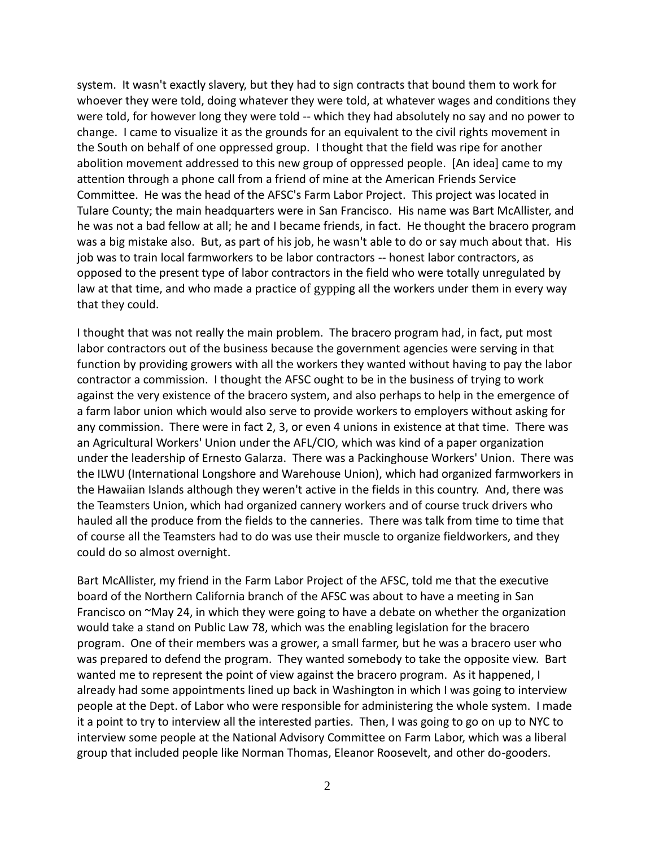system. It wasn't exactly slavery, but they had to sign contracts that bound them to work for whoever they were told, doing whatever they were told, at whatever wages and conditions they were told, for however long they were told -- which they had absolutely no say and no power to change. I came to visualize it as the grounds for an equivalent to the civil rights movement in the South on behalf of one oppressed group. I thought that the field was ripe for another abolition movement addressed to this new group of oppressed people. [An idea] came to my attention through a phone call from a friend of mine at the American Friends Service Committee. He was the head of the AFSC's Farm Labor Project. This project was located in Tulare County; the main headquarters were in San Francisco. His name was Bart McAllister, and he was not a bad fellow at all; he and I became friends, in fact. He thought the bracero program was a big mistake also. But, as part of his job, he wasn't able to do or say much about that. His job was to train local farmworkers to be labor contractors -- honest labor contractors, as opposed to the present type of labor contractors in the field who were totally unregulated by law at that time, and who made a practice of gypping all the workers under them in every way that they could.

I thought that was not really the main problem. The bracero program had, in fact, put most labor contractors out of the business because the government agencies were serving in that function by providing growers with all the workers they wanted without having to pay the labor contractor a commission. I thought the AFSC ought to be in the business of trying to work against the very existence of the bracero system, and also perhaps to help in the emergence of a farm labor union which would also serve to provide workers to employers without asking for any commission. There were in fact 2, 3, or even 4 unions in existence at that time. There was an Agricultural Workers' Union under the AFL/CIO, which was kind of a paper organization under the leadership of Ernesto Galarza. There was a Packinghouse Workers' Union. There was the ILWU (International Longshore and Warehouse Union), which had organized farmworkers in the Hawaiian Islands although they weren't active in the fields in this country. And, there was the Teamsters Union, which had organized cannery workers and of course truck drivers who hauled all the produce from the fields to the canneries. There was talk from time to time that of course all the Teamsters had to do was use their muscle to organize fieldworkers, and they could do so almost overnight.

Bart McAllister, my friend in the Farm Labor Project of the AFSC, told me that the executive board of the Northern California branch of the AFSC was about to have a meeting in San Francisco on ~May 24, in which they were going to have a debate on whether the organization would take a stand on Public Law 78, which was the enabling legislation for the bracero program. One of their members was a grower, a small farmer, but he was a bracero user who was prepared to defend the program. They wanted somebody to take the opposite view. Bart wanted me to represent the point of view against the bracero program. As it happened, I already had some appointments lined up back in Washington in which I was going to interview people at the Dept. of Labor who were responsible for administering the whole system. I made it a point to try to interview all the interested parties. Then, I was going to go on up to NYC to interview some people at the National Advisory Committee on Farm Labor, which was a liberal group that included people like Norman Thomas, Eleanor Roosevelt, and other do-gooders.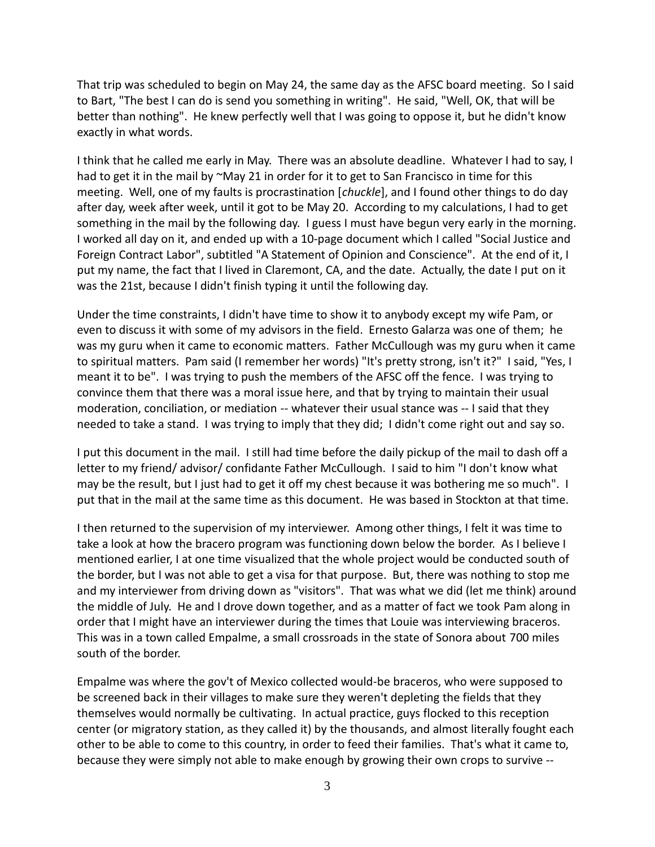That trip was scheduled to begin on May 24, the same day as the AFSC board meeting. So I said to Bart, "The best I can do is send you something in writing". He said, "Well, OK, that will be better than nothing". He knew perfectly well that I was going to oppose it, but he didn't know exactly in what words.

I think that he called me early in May. There was an absolute deadline. Whatever I had to say, I had to get it in the mail by ~May 21 in order for it to get to San Francisco in time for this meeting. Well, one of my faults is procrastination [*chuckle*], and I found other things to do day after day, week after week, until it got to be May 20. According to my calculations, I had to get something in the mail by the following day. I guess I must have begun very early in the morning. I worked all day on it, and ended up with a 10-page document which I called "Social Justice and Foreign Contract Labor", subtitled "A Statement of Opinion and Conscience". At the end of it, I put my name, the fact that I lived in Claremont, CA, and the date. Actually, the date I put on it was the 21st, because I didn't finish typing it until the following day.

Under the time constraints, I didn't have time to show it to anybody except my wife Pam, or even to discuss it with some of my advisors in the field. Ernesto Galarza was one of them; he was my guru when it came to economic matters. Father McCullough was my guru when it came to spiritual matters. Pam said (I remember her words) "It's pretty strong, isn't it?" I said, "Yes, I meant it to be". I was trying to push the members of the AFSC off the fence. I was trying to convince them that there was a moral issue here, and that by trying to maintain their usual moderation, conciliation, or mediation -- whatever their usual stance was -- I said that they needed to take a stand. I was trying to imply that they did; I didn't come right out and say so.

I put this document in the mail. I still had time before the daily pickup of the mail to dash off a letter to my friend/ advisor/ confidante Father McCullough. I said to him "I don't know what may be the result, but I just had to get it off my chest because it was bothering me so much". I put that in the mail at the same time as this document. He was based in Stockton at that time.

I then returned to the supervision of my interviewer. Among other things, I felt it was time to take a look at how the bracero program was functioning down below the border. As I believe I mentioned earlier, I at one time visualized that the whole project would be conducted south of the border, but I was not able to get a visa for that purpose. But, there was nothing to stop me and my interviewer from driving down as "visitors". That was what we did (let me think) around the middle of July. He and I drove down together, and as a matter of fact we took Pam along in order that I might have an interviewer during the times that Louie was interviewing braceros. This was in a town called Empalme, a small crossroads in the state of Sonora about 700 miles south of the border.

Empalme was where the gov't of Mexico collected would-be braceros, who were supposed to be screened back in their villages to make sure they weren't depleting the fields that they themselves would normally be cultivating. In actual practice, guys flocked to this reception center (or migratory station, as they called it) by the thousands, and almost literally fought each other to be able to come to this country, in order to feed their families. That's what it came to, because they were simply not able to make enough by growing their own crops to survive --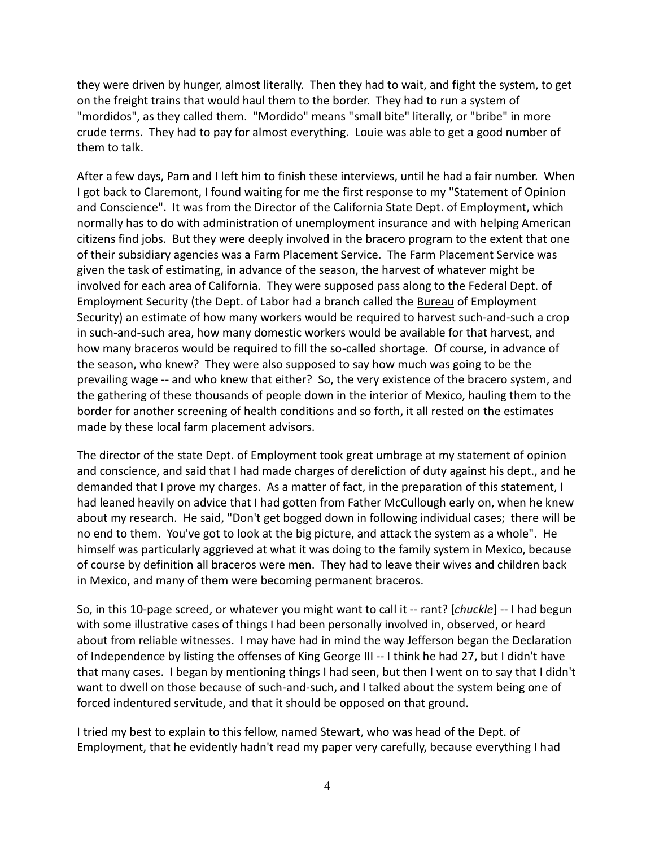they were driven by hunger, almost literally. Then they had to wait, and fight the system, to get on the freight trains that would haul them to the border. They had to run a system of "mordidos", as they called them. "Mordido" means "small bite" literally, or "bribe" in more crude terms. They had to pay for almost everything. Louie was able to get a good number of them to talk.

After a few days, Pam and I left him to finish these interviews, until he had a fair number. When I got back to Claremont, I found waiting for me the first response to my "Statement of Opinion and Conscience". It was from the Director of the California State Dept. of Employment, which normally has to do with administration of unemployment insurance and with helping American citizens find jobs. But they were deeply involved in the bracero program to the extent that one of their subsidiary agencies was a Farm Placement Service. The Farm Placement Service was given the task of estimating, in advance of the season, the harvest of whatever might be involved for each area of California. They were supposed pass along to the Federal Dept. of Employment Security (the Dept. of Labor had a branch called the Bureau of Employment Security) an estimate of how many workers would be required to harvest such-and-such a crop in such-and-such area, how many domestic workers would be available for that harvest, and how many braceros would be required to fill the so-called shortage. Of course, in advance of the season, who knew? They were also supposed to say how much was going to be the prevailing wage -- and who knew that either? So, the very existence of the bracero system, and the gathering of these thousands of people down in the interior of Mexico, hauling them to the border for another screening of health conditions and so forth, it all rested on the estimates made by these local farm placement advisors.

The director of the state Dept. of Employment took great umbrage at my statement of opinion and conscience, and said that I had made charges of dereliction of duty against his dept., and he demanded that I prove my charges. As a matter of fact, in the preparation of this statement, I had leaned heavily on advice that I had gotten from Father McCullough early on, when he knew about my research. He said, "Don't get bogged down in following individual cases; there will be no end to them. You've got to look at the big picture, and attack the system as a whole". He himself was particularly aggrieved at what it was doing to the family system in Mexico, because of course by definition all braceros were men. They had to leave their wives and children back in Mexico, and many of them were becoming permanent braceros.

So, in this 10-page screed, or whatever you might want to call it -- rant? [*chuckle*] -- I had begun with some illustrative cases of things I had been personally involved in, observed, or heard about from reliable witnesses. I may have had in mind the way Jefferson began the Declaration of Independence by listing the offenses of King George III -- I think he had 27, but I didn't have that many cases. I began by mentioning things I had seen, but then I went on to say that I didn't want to dwell on those because of such-and-such, and I talked about the system being one of forced indentured servitude, and that it should be opposed on that ground.

I tried my best to explain to this fellow, named Stewart, who was head of the Dept. of Employment, that he evidently hadn't read my paper very carefully, because everything I had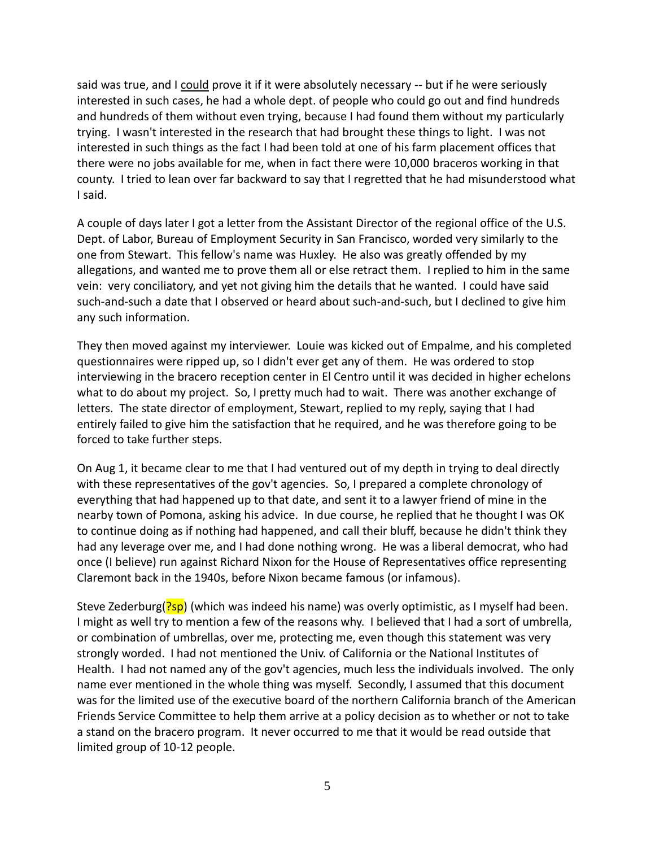said was true, and I could prove it if it were absolutely necessary -- but if he were seriously interested in such cases, he had a whole dept. of people who could go out and find hundreds and hundreds of them without even trying, because I had found them without my particularly trying. I wasn't interested in the research that had brought these things to light. I was not interested in such things as the fact I had been told at one of his farm placement offices that there were no jobs available for me, when in fact there were 10,000 braceros working in that county. I tried to lean over far backward to say that I regretted that he had misunderstood what I said.

A couple of days later I got a letter from the Assistant Director of the regional office of the U.S. Dept. of Labor, Bureau of Employment Security in San Francisco, worded very similarly to the one from Stewart. This fellow's name was Huxley. He also was greatly offended by my allegations, and wanted me to prove them all or else retract them. I replied to him in the same vein: very conciliatory, and yet not giving him the details that he wanted. I could have said such-and-such a date that I observed or heard about such-and-such, but I declined to give him any such information.

They then moved against my interviewer. Louie was kicked out of Empalme, and his completed questionnaires were ripped up, so I didn't ever get any of them. He was ordered to stop interviewing in the bracero reception center in El Centro until it was decided in higher echelons what to do about my project. So, I pretty much had to wait. There was another exchange of letters. The state director of employment, Stewart, replied to my reply, saying that I had entirely failed to give him the satisfaction that he required, and he was therefore going to be forced to take further steps.

On Aug 1, it became clear to me that I had ventured out of my depth in trying to deal directly with these representatives of the gov't agencies. So, I prepared a complete chronology of everything that had happened up to that date, and sent it to a lawyer friend of mine in the nearby town of Pomona, asking his advice. In due course, he replied that he thought I was OK to continue doing as if nothing had happened, and call their bluff, because he didn't think they had any leverage over me, and I had done nothing wrong. He was a liberal democrat, who had once (I believe) run against Richard Nixon for the House of Representatives office representing Claremont back in the 1940s, before Nixon became famous (or infamous).

Steve Zederburg( $\frac{?5p}{p}$ ) (which was indeed his name) was overly optimistic, as I myself had been. I might as well try to mention a few of the reasons why. I believed that I had a sort of umbrella, or combination of umbrellas, over me, protecting me, even though this statement was very strongly worded. I had not mentioned the Univ. of California or the National Institutes of Health. I had not named any of the gov't agencies, much less the individuals involved. The only name ever mentioned in the whole thing was myself. Secondly, I assumed that this document was for the limited use of the executive board of the northern California branch of the American Friends Service Committee to help them arrive at a policy decision as to whether or not to take a stand on the bracero program. It never occurred to me that it would be read outside that limited group of 10-12 people.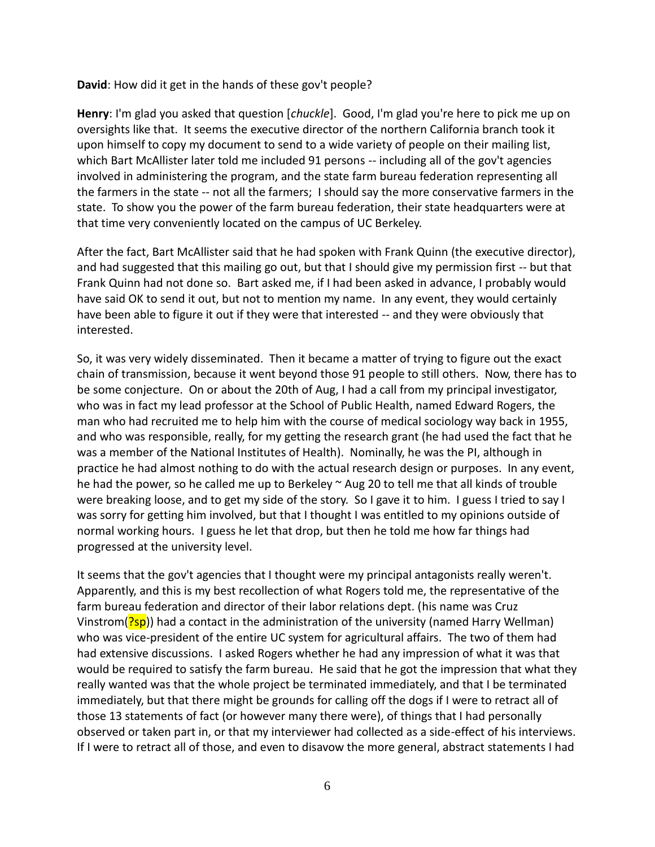**David**: How did it get in the hands of these gov't people?

**Henry**: I'm glad you asked that question [*chuckle*]. Good, I'm glad you're here to pick me up on oversights like that. It seems the executive director of the northern California branch took it upon himself to copy my document to send to a wide variety of people on their mailing list, which Bart McAllister later told me included 91 persons -- including all of the gov't agencies involved in administering the program, and the state farm bureau federation representing all the farmers in the state -- not all the farmers; I should say the more conservative farmers in the state. To show you the power of the farm bureau federation, their state headquarters were at that time very conveniently located on the campus of UC Berkeley.

After the fact, Bart McAllister said that he had spoken with Frank Quinn (the executive director), and had suggested that this mailing go out, but that I should give my permission first -- but that Frank Quinn had not done so. Bart asked me, if I had been asked in advance, I probably would have said OK to send it out, but not to mention my name. In any event, they would certainly have been able to figure it out if they were that interested -- and they were obviously that interested.

So, it was very widely disseminated. Then it became a matter of trying to figure out the exact chain of transmission, because it went beyond those 91 people to still others. Now, there has to be some conjecture. On or about the 20th of Aug, I had a call from my principal investigator, who was in fact my lead professor at the School of Public Health, named Edward Rogers, the man who had recruited me to help him with the course of medical sociology way back in 1955, and who was responsible, really, for my getting the research grant (he had used the fact that he was a member of the National Institutes of Health). Nominally, he was the PI, although in practice he had almost nothing to do with the actual research design or purposes. In any event, he had the power, so he called me up to Berkeley  $\sim$  Aug 20 to tell me that all kinds of trouble were breaking loose, and to get my side of the story. So I gave it to him. I guess I tried to say I was sorry for getting him involved, but that I thought I was entitled to my opinions outside of normal working hours. I guess he let that drop, but then he told me how far things had progressed at the university level.

It seems that the gov't agencies that I thought were my principal antagonists really weren't. Apparently, and this is my best recollection of what Rogers told me, the representative of the farm bureau federation and director of their labor relations dept. (his name was Cruz Vinstrom( $\frac{?5p}{ }$ ) had a contact in the administration of the university (named Harry Wellman) who was vice-president of the entire UC system for agricultural affairs. The two of them had had extensive discussions. I asked Rogers whether he had any impression of what it was that would be required to satisfy the farm bureau. He said that he got the impression that what they really wanted was that the whole project be terminated immediately, and that I be terminated immediately, but that there might be grounds for calling off the dogs if I were to retract all of those 13 statements of fact (or however many there were), of things that I had personally observed or taken part in, or that my interviewer had collected as a side-effect of his interviews. If I were to retract all of those, and even to disavow the more general, abstract statements I had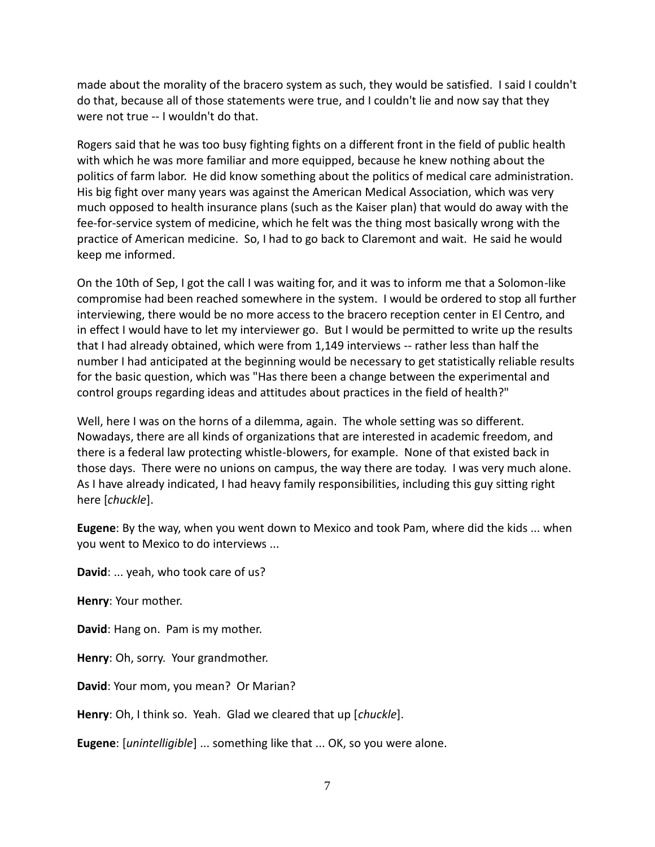made about the morality of the bracero system as such, they would be satisfied. I said I couldn't do that, because all of those statements were true, and I couldn't lie and now say that they were not true -- I wouldn't do that.

Rogers said that he was too busy fighting fights on a different front in the field of public health with which he was more familiar and more equipped, because he knew nothing about the politics of farm labor. He did know something about the politics of medical care administration. His big fight over many years was against the American Medical Association, which was very much opposed to health insurance plans (such as the Kaiser plan) that would do away with the fee-for-service system of medicine, which he felt was the thing most basically wrong with the practice of American medicine. So, I had to go back to Claremont and wait. He said he would keep me informed.

On the 10th of Sep, I got the call I was waiting for, and it was to inform me that a Solomon-like compromise had been reached somewhere in the system. I would be ordered to stop all further interviewing, there would be no more access to the bracero reception center in El Centro, and in effect I would have to let my interviewer go. But I would be permitted to write up the results that I had already obtained, which were from 1,149 interviews -- rather less than half the number I had anticipated at the beginning would be necessary to get statistically reliable results for the basic question, which was "Has there been a change between the experimental and control groups regarding ideas and attitudes about practices in the field of health?"

Well, here I was on the horns of a dilemma, again. The whole setting was so different. Nowadays, there are all kinds of organizations that are interested in academic freedom, and there is a federal law protecting whistle-blowers, for example. None of that existed back in those days. There were no unions on campus, the way there are today. I was very much alone. As I have already indicated, I had heavy family responsibilities, including this guy sitting right here [*chuckle*].

**Eugene**: By the way, when you went down to Mexico and took Pam, where did the kids ... when you went to Mexico to do interviews ...

**David**: ... yeah, who took care of us?

**Henry**: Your mother.

**David**: Hang on. Pam is my mother.

**Henry**: Oh, sorry. Your grandmother.

**David**: Your mom, you mean? Or Marian?

**Henry**: Oh, I think so. Yeah. Glad we cleared that up [*chuckle*].

**Eugene**: [*unintelligible*] ... something like that ... OK, so you were alone.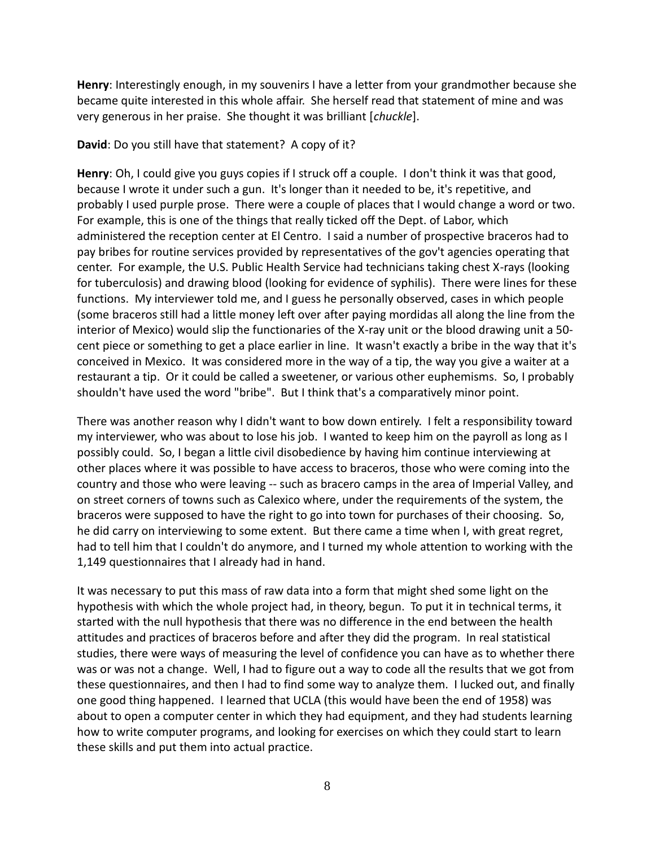**Henry**: Interestingly enough, in my souvenirs I have a letter from your grandmother because she became quite interested in this whole affair. She herself read that statement of mine and was very generous in her praise. She thought it was brilliant [*chuckle*].

## **David**: Do you still have that statement? A copy of it?

**Henry**: Oh, I could give you guys copies if I struck off a couple. I don't think it was that good, because I wrote it under such a gun. It's longer than it needed to be, it's repetitive, and probably I used purple prose. There were a couple of places that I would change a word or two. For example, this is one of the things that really ticked off the Dept. of Labor, which administered the reception center at El Centro. I said a number of prospective braceros had to pay bribes for routine services provided by representatives of the gov't agencies operating that center. For example, the U.S. Public Health Service had technicians taking chest X-rays (looking for tuberculosis) and drawing blood (looking for evidence of syphilis). There were lines for these functions. My interviewer told me, and I guess he personally observed, cases in which people (some braceros still had a little money left over after paying mordidas all along the line from the interior of Mexico) would slip the functionaries of the X-ray unit or the blood drawing unit a 50 cent piece or something to get a place earlier in line. It wasn't exactly a bribe in the way that it's conceived in Mexico. It was considered more in the way of a tip, the way you give a waiter at a restaurant a tip. Or it could be called a sweetener, or various other euphemisms. So, I probably shouldn't have used the word "bribe". But I think that's a comparatively minor point.

There was another reason why I didn't want to bow down entirely. I felt a responsibility toward my interviewer, who was about to lose his job. I wanted to keep him on the payroll as long as I possibly could. So, I began a little civil disobedience by having him continue interviewing at other places where it was possible to have access to braceros, those who were coming into the country and those who were leaving -- such as bracero camps in the area of Imperial Valley, and on street corners of towns such as Calexico where, under the requirements of the system, the braceros were supposed to have the right to go into town for purchases of their choosing. So, he did carry on interviewing to some extent. But there came a time when I, with great regret, had to tell him that I couldn't do anymore, and I turned my whole attention to working with the 1,149 questionnaires that I already had in hand.

It was necessary to put this mass of raw data into a form that might shed some light on the hypothesis with which the whole project had, in theory, begun. To put it in technical terms, it started with the null hypothesis that there was no difference in the end between the health attitudes and practices of braceros before and after they did the program. In real statistical studies, there were ways of measuring the level of confidence you can have as to whether there was or was not a change. Well, I had to figure out a way to code all the results that we got from these questionnaires, and then I had to find some way to analyze them. I lucked out, and finally one good thing happened. I learned that UCLA (this would have been the end of 1958) was about to open a computer center in which they had equipment, and they had students learning how to write computer programs, and looking for exercises on which they could start to learn these skills and put them into actual practice.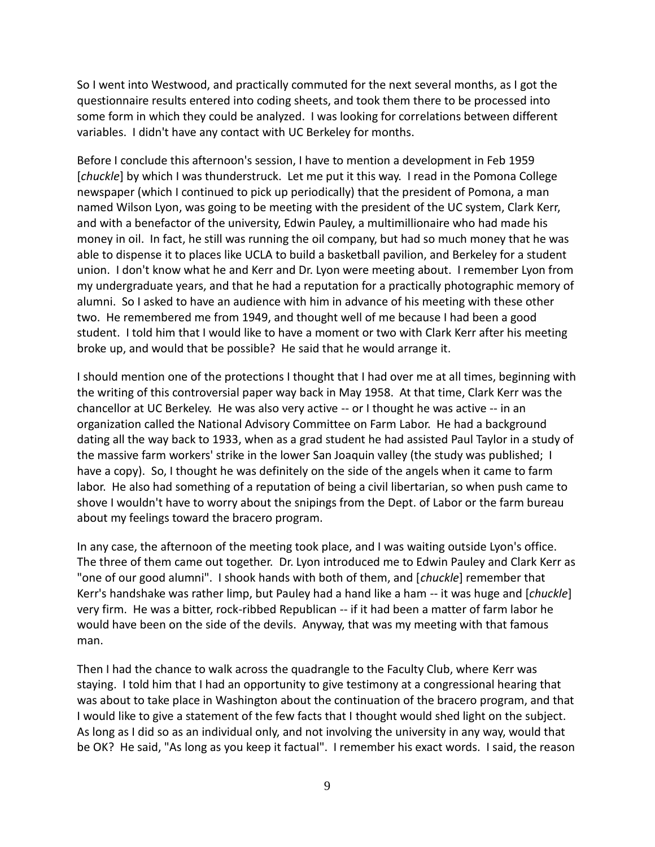So I went into Westwood, and practically commuted for the next several months, as I got the questionnaire results entered into coding sheets, and took them there to be processed into some form in which they could be analyzed. I was looking for correlations between different variables. I didn't have any contact with UC Berkeley for months.

Before I conclude this afternoon's session, I have to mention a development in Feb 1959 [*chuckle*] by which I was thunderstruck. Let me put it this way. I read in the Pomona College newspaper (which I continued to pick up periodically) that the president of Pomona, a man named Wilson Lyon, was going to be meeting with the president of the UC system, Clark Kerr, and with a benefactor of the university, Edwin Pauley, a multimillionaire who had made his money in oil. In fact, he still was running the oil company, but had so much money that he was able to dispense it to places like UCLA to build a basketball pavilion, and Berkeley for a student union. I don't know what he and Kerr and Dr. Lyon were meeting about. I remember Lyon from my undergraduate years, and that he had a reputation for a practically photographic memory of alumni. So I asked to have an audience with him in advance of his meeting with these other two. He remembered me from 1949, and thought well of me because I had been a good student. I told him that I would like to have a moment or two with Clark Kerr after his meeting broke up, and would that be possible? He said that he would arrange it.

I should mention one of the protections I thought that I had over me at all times, beginning with the writing of this controversial paper way back in May 1958. At that time, Clark Kerr was the chancellor at UC Berkeley. He was also very active -- or I thought he was active -- in an organization called the National Advisory Committee on Farm Labor. He had a background dating all the way back to 1933, when as a grad student he had assisted Paul Taylor in a study of the massive farm workers' strike in the lower San Joaquin valley (the study was published; I have a copy). So, I thought he was definitely on the side of the angels when it came to farm labor. He also had something of a reputation of being a civil libertarian, so when push came to shove I wouldn't have to worry about the snipings from the Dept. of Labor or the farm bureau about my feelings toward the bracero program.

In any case, the afternoon of the meeting took place, and I was waiting outside Lyon's office. The three of them came out together. Dr. Lyon introduced me to Edwin Pauley and Clark Kerr as "one of our good alumni". I shook hands with both of them, and [*chuckle*] remember that Kerr's handshake was rather limp, but Pauley had a hand like a ham -- it was huge and [*chuckle*] very firm. He was a bitter, rock-ribbed Republican -- if it had been a matter of farm labor he would have been on the side of the devils. Anyway, that was my meeting with that famous man.

Then I had the chance to walk across the quadrangle to the Faculty Club, where Kerr was staying. I told him that I had an opportunity to give testimony at a congressional hearing that was about to take place in Washington about the continuation of the bracero program, and that I would like to give a statement of the few facts that I thought would shed light on the subject. As long as I did so as an individual only, and not involving the university in any way, would that be OK? He said, "As long as you keep it factual". I remember his exact words. I said, the reason